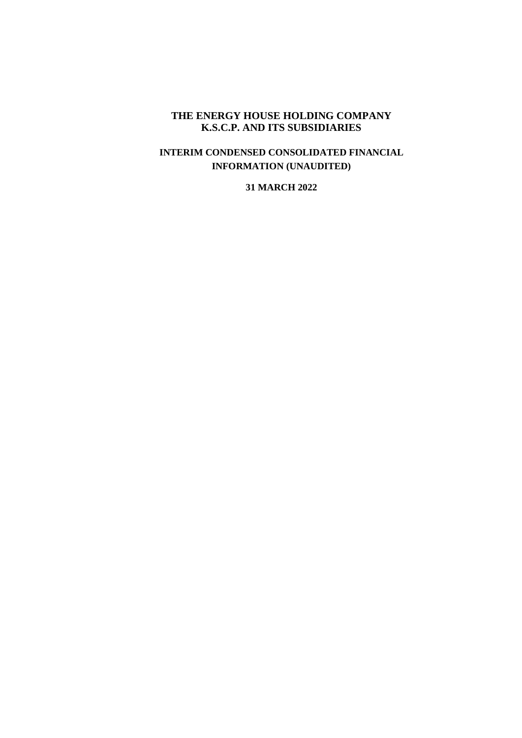#### **THE ENERGY HOUSE HOLDING COMPANY K.S.C.P. AND ITS SUBSIDIARIES**

### **INTERIM CONDENSED CONSOLIDATED FINANCIAL INFORMATION (UNAUDITED)**

#### **31 MARCH 2022**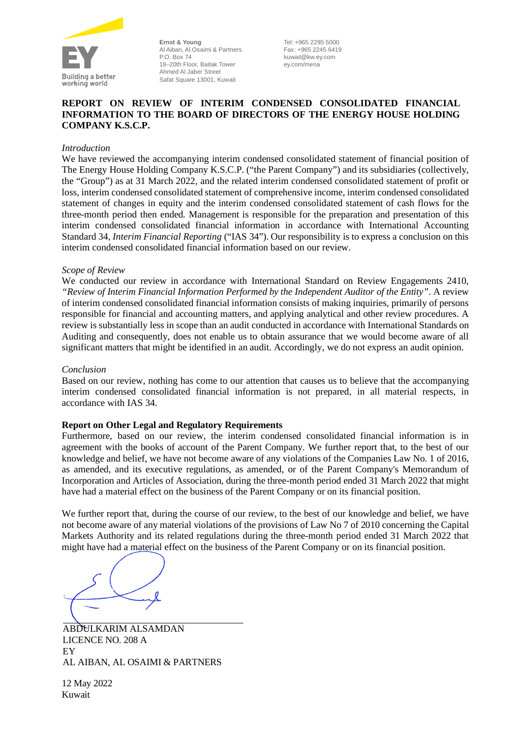

**Ernst & Young** Al Aiban, Al Osaimi & Partners P.O. Box 74 18–20th Floor, Baitak Tower Ahmed Al Jaber Street Safat Square 13001, Kuwait

Tel: +965 2295 5000 Fax: +965 2245 6419 kuwait@kw.ey.com ey.com/mena

#### **REPORT ON REVIEW OF INTERIM CONDENSED CONSOLIDATED FINANCIAL INFORMATION TO THE BOARD OF DIRECTORS OF THE ENERGY HOUSE HOLDING COMPANY K.S.C.P.**

#### *Introduction*

We have reviewed the accompanying interim condensed consolidated statement of financial position of The Energy House Holding Company K.S.C.P. ("the Parent Company") and its subsidiaries (collectively, the "Group") as at 31 March 2022, and the related interim condensed consolidated statement of profit or loss, interim condensed consolidated statement of comprehensive income, interim condensed consolidated statement of changes in equity and the interim condensed consolidated statement of cash flows for the three-month period then ended. Management is responsible for the preparation and presentation of this interim condensed consolidated financial information in accordance with International Accounting Standard 34, *Interim Financial Reporting* ("IAS 34"). Our responsibility is to express a conclusion on this interim condensed consolidated financial information based on our review.

#### *Scope of Review*

We conducted our review in accordance with International Standard on Review Engagements 2410, *"Review of Interim Financial Information Performed by the Independent Auditor of the Entity"*. A review of interim condensed consolidated financial information consists of making inquiries, primarily of persons responsible for financial and accounting matters, and applying analytical and other review procedures. A review is substantially less in scope than an audit conducted in accordance with International Standards on Auditing and consequently, does not enable us to obtain assurance that we would become aware of all significant matters that might be identified in an audit. Accordingly, we do not express an audit opinion.

#### *Conclusion*

Based on our review, nothing has come to our attention that causes us to believe that the accompanying interim condensed consolidated financial information is not prepared, in all material respects, in accordance with IAS 34.

#### **Report on Other Legal and Regulatory Requirements**

Furthermore, based on our review, the interim condensed consolidated financial information is in agreement with the books of account of the Parent Company. We further report that, to the best of our knowledge and belief, we have not become aware of any violations of the Companies Law No. 1 of 2016, as amended, and its executive regulations, as amended, or of the Parent Company's Memorandum of Incorporation and Articles of Association, during the three-month period ended 31 March 2022 that might have had a material effect on the business of the Parent Company or on its financial position.

We further report that, during the course of our review, to the best of our knowledge and belief, we have not become aware of any material violations of the provisions of Law No 7 of 2010 concerning the Capital Markets Authority and its related regulations during the three-month period ended 31 March 2022 that might have had a material effect on the business of the Parent Company or on its financial position.

ABDULKARIM ALSAMDAN LICENCE NO. 208 A EY AL AIBAN, AL OSAIMI & PARTNERS

12 May 2022 Kuwait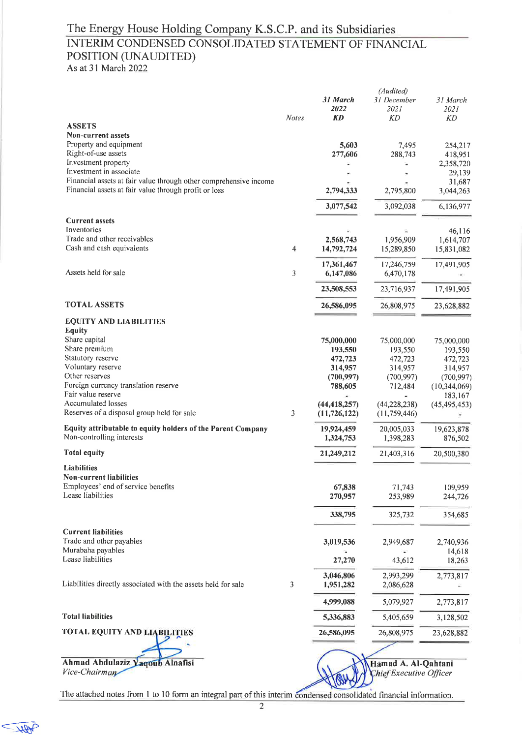## INTERIM CONDENSED CONSOLIDATED STATEMENT OF FINANCIAL POSITION (UNAUDITED)

As at 31 March 2022

|                                                                                              |              | 31 March<br><i><b>2022</b></i>   | (Audited)<br>31 December<br>2021 | 31 March<br>2021    |
|----------------------------------------------------------------------------------------------|--------------|----------------------------------|----------------------------------|---------------------|
|                                                                                              | <b>Notes</b> | <b>KD</b>                        | KD                               | KD                  |
| <b>ASSETS</b><br>Non-current assets                                                          |              |                                  |                                  |                     |
| Property and equipment                                                                       |              | 5,603                            | 7,495                            | 254,217             |
| Right-of-use assets                                                                          |              | 277,606                          | 288,743                          | 418,951             |
| Investment property                                                                          |              |                                  |                                  | 2,358,720           |
| Investment in associate<br>Financial assets at fair value through other comprehensive income |              |                                  |                                  | 29,139              |
| Financial assets at fair value through profit or loss                                        |              | 2,794,333                        | 2,795,800                        | 31,687<br>3,044,263 |
|                                                                                              |              | 3,077,542                        | 3,092,038                        | 6,136,977           |
| <b>Current assets</b>                                                                        |              |                                  |                                  |                     |
| Inventories                                                                                  |              |                                  |                                  | 46,116              |
| Trade and other receivables<br>Cash and cash equivalents                                     |              | 2,568,743                        | 1,956,909                        | 1,614,707           |
|                                                                                              | 4            | 14,792,724                       | 15,289,850                       | 15,831,082          |
| Assets held for sale                                                                         | 3            | 17,361,467                       | 17,246,759<br>6,470,178          | 17,491,905          |
|                                                                                              |              | 6,147,086                        |                                  |                     |
|                                                                                              |              | 23,508,553                       | 23,716,937                       | 17,491,905          |
| <b>TOTAL ASSETS</b>                                                                          |              | 26,586,095                       | 26,808,975                       | 23,628,882          |
| <b>EQUITY AND LIABILITIES</b><br><b>Equity</b>                                               |              |                                  |                                  |                     |
| Share capital                                                                                |              | 75,000,000                       | 75,000,000                       | 75,000,000          |
| Share premium                                                                                |              | 193,550                          | 193,550                          | 193,550             |
| Statutory reserve                                                                            |              | 472,723                          | 472,723                          | 472,723             |
| Voluntary reserve                                                                            |              | 314,957                          | 314,957                          | 314,957             |
| Other reserves                                                                               |              | (700, 997)                       | (700, 997)                       | (700, 997)          |
| Foreign currency translation reserve<br>Fair value reserve                                   |              | 788,605                          | 712,484                          | (10, 344, 069)      |
| Accumulated losses                                                                           |              |                                  |                                  | 183,167             |
| Reserves of a disposal group held for sale                                                   | 3            | (44, 418, 257)<br>(11, 726, 122) | (44, 228, 238)<br>(11, 759, 446) | (45, 495, 453)      |
| Equity attributable to equity holders of the Parent Company                                  |              | 19,924,459                       | 20,005,033                       | 19,623,878          |
| Non-controlling interests                                                                    |              | 1,324,753                        | 1,398,283                        | 876,502             |
| <b>Total equity</b>                                                                          |              | 21,249,212                       | 21,403,316                       | 20,500,380          |
| Liabilities<br>Non-current liabilities                                                       |              |                                  |                                  |                     |
| Employees' end of service benefits                                                           |              | 67,838                           | 71,743                           | 109,959             |
| Lease liabilities                                                                            |              | 270,957                          | 253,989                          | 244,726             |
|                                                                                              |              | 338,795                          | 325,732                          | 354,685             |
|                                                                                              |              |                                  |                                  |                     |
| <b>Current liabilities</b><br>Trade and other payables                                       |              | 3,019,536                        | 2,949,687                        | 2,740,936           |
| Murabaha payables                                                                            |              |                                  |                                  | 14,618              |
| Lease liabilities                                                                            |              | 27,270                           | 43,612                           | 18,263              |
|                                                                                              |              | 3,046,806                        | 2,993,299                        | 2,773,817           |
| Liabilities directly associated with the assets held for sale                                | 3            | 1,951,282                        | 2,086,628                        |                     |
|                                                                                              |              | 4,999,088                        | 5,079,927                        | 2,773,817           |
| <b>Total liabilities</b>                                                                     |              | 5,336,883                        | 5,405,659                        | 3,128,502           |
| <b>TOTAL EQUITY AND LIABILITIES</b>                                                          |              | 26,586,095                       | 26,808,975                       | 23,628,882          |
|                                                                                              |              |                                  |                                  |                     |
| Ahmad Abdulaziz Yaqoub Alnafisi                                                              |              |                                  | Hamad A. Al-Qahtani              |                     |
| Vice-Chairman                                                                                |              |                                  | hief Executive Officer           |                     |

 $\sqrt{10}$ 

The attached notes from 1 to 10 form an integral part of this interim condensed consolidated financial information.

W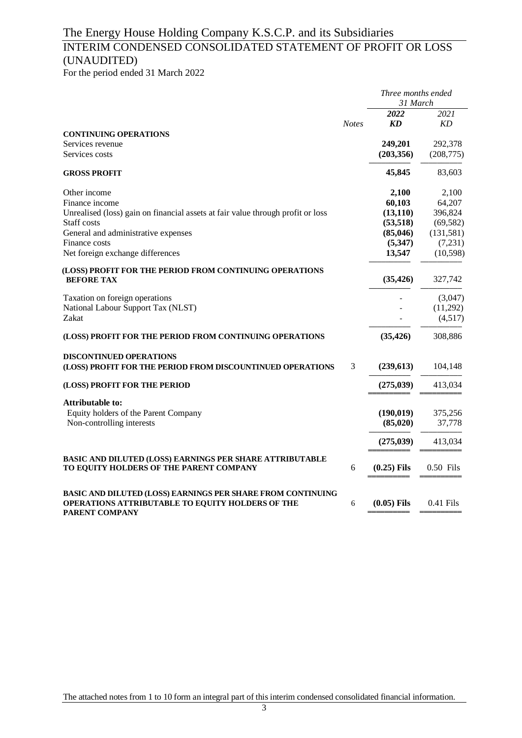## INTERIM CONDENSED CONSOLIDATED STATEMENT OF PROFIT OR LOSS (UNAUDITED)

For the period ended 31 March 2022

|                                                                                                     |              | Three months ended<br>31 March |                       |  |
|-----------------------------------------------------------------------------------------------------|--------------|--------------------------------|-----------------------|--|
|                                                                                                     |              | 2022                           | 2021                  |  |
|                                                                                                     | <b>Notes</b> | <b>KD</b>                      | KD                    |  |
| <b>CONTINUING OPERATIONS</b>                                                                        |              |                                |                       |  |
| Services revenue<br>Services costs                                                                  |              | 249,201<br>(203, 356)          | 292,378<br>(208, 775) |  |
| <b>GROSS PROFIT</b>                                                                                 |              | 45,845                         | 83,603                |  |
| Other income                                                                                        |              | 2,100                          | 2,100                 |  |
| Finance income                                                                                      |              | 60,103                         | 64,207                |  |
| Unrealised (loss) gain on financial assets at fair value through profit or loss                     |              | (13, 110)                      | 396,824               |  |
| Staff costs                                                                                         |              | (53, 518)                      | (69, 582)             |  |
| General and administrative expenses                                                                 |              | (85,046)                       | (131, 581)            |  |
| Finance costs                                                                                       |              | (5,347)                        | (7,231)               |  |
| Net foreign exchange differences                                                                    |              | 13,547                         | (10, 598)             |  |
| (LOSS) PROFIT FOR THE PERIOD FROM CONTINUING OPERATIONS<br><b>BEFORE TAX</b>                        |              | (35, 426)                      | 327,742               |  |
| Taxation on foreign operations                                                                      |              |                                | (3,047)               |  |
| National Labour Support Tax (NLST)                                                                  |              |                                | (11,292)              |  |
| Zakat                                                                                               |              |                                | (4,517)               |  |
| (LOSS) PROFIT FOR THE PERIOD FROM CONTINUING OPERATIONS                                             |              | (35, 426)                      | 308,886               |  |
| <b>DISCONTINUED OPERATIONS</b><br>(LOSS) PROFIT FOR THE PERIOD FROM DISCOUNTINUED OPERATIONS        | 3            | (239, 613)                     | 104,148               |  |
|                                                                                                     |              |                                |                       |  |
| (LOSS) PROFIT FOR THE PERIOD                                                                        |              | (275, 039)                     | 413,034               |  |
| <b>Attributable to:</b>                                                                             |              |                                |                       |  |
| Equity holders of the Parent Company                                                                |              | (190, 019)                     | 375,256               |  |
| Non-controlling interests                                                                           |              | (85, 020)                      | 37,778                |  |
|                                                                                                     |              | (275, 039)                     | 413,034               |  |
| BASIC AND DILUTED (LOSS) EARNINGS PER SHARE ATTRIBUTABLE<br>TO EQUITY HOLDERS OF THE PARENT COMPANY | 6            | $(0.25)$ Fils                  | 0.50 Fils             |  |
|                                                                                                     |              |                                |                       |  |
| BASIC AND DILUTED (LOSS) EARNINGS PER SHARE FROM CONTINUING                                         |              |                                |                       |  |
| <b>OPERATIONS ATTRIBUTABLE TO EQUITY HOLDERS OF THE</b><br>PARENT COMPANY                           | 6            | $(0.05)$ Fils                  | $0.41$ Fils           |  |

The attached notes from 1 to 10 form an integral part of this interim condensed consolidated financial information.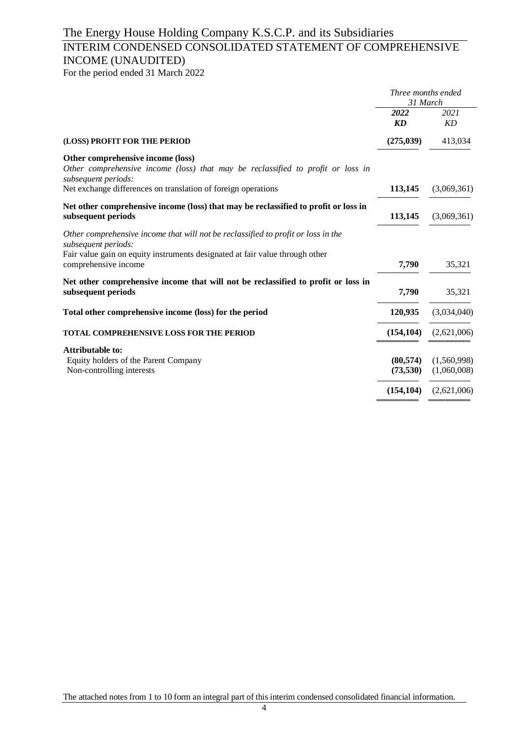## INTERIM CONDENSED CONSOLIDATED STATEMENT OF COMPREHENSIVE INCOME (UNAUDITED)

For the period ended 31 March 2022

|                                                                                                                                             | Three months ended<br>31 March |                            |
|---------------------------------------------------------------------------------------------------------------------------------------------|--------------------------------|----------------------------|
|                                                                                                                                             | 2022<br>KD                     | 2021<br>KD                 |
| (LOSS) PROFIT FOR THE PERIOD                                                                                                                | (275, 039)                     | 413,034                    |
| Other comprehensive income (loss)<br>Other comprehensive income (loss) that may be reclassified to profit or loss in<br>subsequent periods: |                                |                            |
| Net exchange differences on translation of foreign operations                                                                               | 113,145                        | (3,069,361)                |
| Net other comprehensive income (loss) that may be reclassified to profit or loss in<br>subsequent periods                                   | 113,145                        | (3,069,361)                |
| Other comprehensive income that will not be reclassified to profit or loss in the<br>subsequent periods:                                    |                                |                            |
| Fair value gain on equity instruments designated at fair value through other<br>comprehensive income                                        | 7,790                          | 35,321                     |
| Net other comprehensive income that will not be reclassified to profit or loss in<br>subsequent periods                                     | 7,790                          | 35,321                     |
| Total other comprehensive income (loss) for the period                                                                                      | 120,935                        | (3,034,040)                |
| <b>TOTAL COMPREHENSIVE LOSS FOR THE PERIOD</b>                                                                                              | (154, 104)                     | (2,621,006)                |
| <b>Attributable to:</b>                                                                                                                     |                                |                            |
| Equity holders of the Parent Company<br>Non-controlling interests                                                                           | (80, 574)<br>(73,530)          | (1,560,998)<br>(1,060,008) |
|                                                                                                                                             | (154, 104)                     | (2,621,006)                |
|                                                                                                                                             |                                |                            |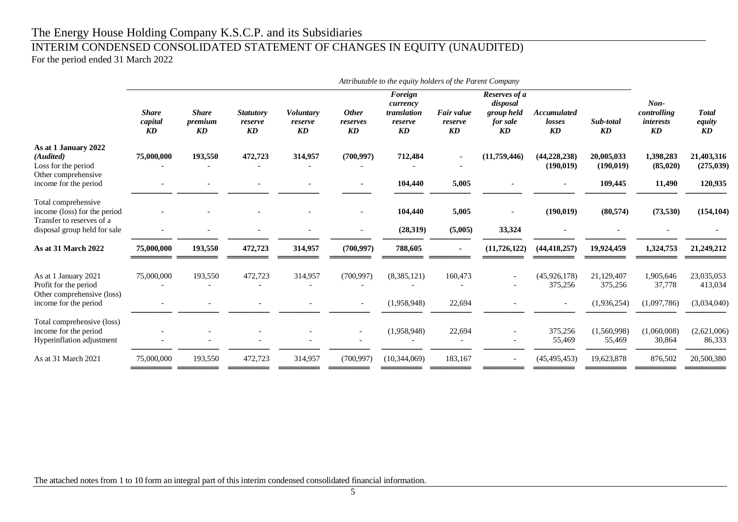# INTERIM CONDENSED CONSOLIDATED STATEMENT OF CHANGES IN EQUITY (UNAUDITED)

For the period ended 31 March 2022

|                                                                                  | Attributable to the equity holders of the Parent Company  |                               |                                   |                                             |                                |                                                     |                                                 |                                                           |                                    |                          |                                                 |                              |
|----------------------------------------------------------------------------------|-----------------------------------------------------------|-------------------------------|-----------------------------------|---------------------------------------------|--------------------------------|-----------------------------------------------------|-------------------------------------------------|-----------------------------------------------------------|------------------------------------|--------------------------|-------------------------------------------------|------------------------------|
|                                                                                  | <b>Share</b><br>capital<br>$\boldsymbol{K}\boldsymbol{D}$ | <b>Share</b><br>premium<br>KD | <b>Statutory</b><br>reserve<br>KD | Voluntary<br>reserve<br>$\boldsymbol{K\!D}$ | <b>Other</b><br>reserves<br>KD | Foreign<br>currency<br>translation<br>reserve<br>KD | Fair value<br>reserve<br>$\mathbf{K}\mathbf{D}$ | Reserves of a<br>disposal<br>group held<br>for sale<br>KD | <b>Accumulated</b><br>losses<br>KD | Sub-total<br><b>KD</b>   | $Non-$<br>controlling<br><i>interests</i><br>KD | <b>Total</b><br>equity<br>KD |
| As at 1 January 2022<br>(Audited)<br>Loss for the period                         | 75,000,000                                                | 193,550                       | 472,723                           | 314,957                                     | (700, 997)                     | 712,484                                             |                                                 | (11,759,446)                                              | (44, 228, 238)<br>(190, 019)       | 20,005,033<br>(190, 019) | 1,398,283<br>(85, 020)                          | 21,403,316<br>(275, 039)     |
| Other comprehensive<br>income for the period                                     |                                                           |                               |                                   |                                             |                                | 104,440                                             | 5,005                                           |                                                           |                                    | 109,445                  | 11,490                                          | 120,935                      |
| Total comprehensive<br>income (loss) for the period<br>Transfer to reserves of a |                                                           |                               |                                   |                                             |                                | 104,440                                             | 5,005                                           |                                                           | (190, 019)                         | (80, 574)                | (73,530)                                        | (154, 104)                   |
| disposal group held for sale                                                     |                                                           |                               |                                   |                                             |                                | (28,319)                                            | (5,005)                                         | 33,324                                                    |                                    |                          |                                                 |                              |
| As at 31 March 2022                                                              | 75,000,000                                                | 193,550                       | 472,723                           | 314,957                                     | (700, 997)                     | 788,605                                             | $\sim$                                          | (11, 726, 122)                                            | (44, 418, 257)                     | 19,924,459               | 1,324,753                                       | 21,249,212                   |
| As at 1 January 2021<br>Profit for the period<br>Other comprehensive (loss)      | 75,000,000                                                | 193,550                       | 472,723                           | 314,957                                     | (700, 997)                     | (8,385,121)                                         | 160,473                                         |                                                           | (45, 926, 178)<br>375,256          | 21,129,407<br>375,256    | 1,905,646<br>37,778                             | 23,035,053<br>413,034        |
| income for the period                                                            |                                                           |                               |                                   |                                             | $\overline{\phantom{a}}$       | (1,958,948)                                         | 22,694                                          |                                                           |                                    | (1,936,254)              | (1,097,786)                                     | (3,034,040)                  |
| Total comprehensive (loss)<br>income for the period<br>Hyperinflation adjustment |                                                           |                               |                                   |                                             |                                | (1,958,948)                                         | 22,694                                          |                                                           | 375,256<br>55,469                  | (1,560,998)<br>55,469    | (1,060,008)<br>30,864                           | (2,621,006)<br>86,333        |
| As at 31 March 2021                                                              | 75,000,000                                                | 193,550                       | 472,723                           | 314,957                                     | (700, 997)                     | (10, 344, 069)                                      | 183,167                                         |                                                           | (45, 495, 453)                     | 19,623,878               | 876,502                                         | 20,500,380                   |
|                                                                                  |                                                           |                               |                                   |                                             |                                |                                                     |                                                 |                                                           |                                    |                          |                                                 |                              |

The attached notes from 1 to 10 form an integral part of this interim condensed consolidated financial information.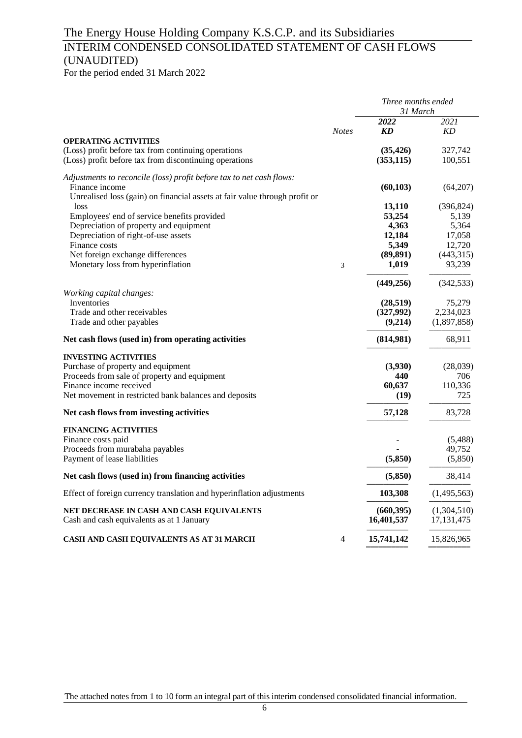## INTERIM CONDENSED CONSOLIDATED STATEMENT OF CASH FLOWS (UNAUDITED)

For the period ended 31 March 2022

|                                                                                    |              | Three months ended<br>31 March |                          |  |
|------------------------------------------------------------------------------------|--------------|--------------------------------|--------------------------|--|
|                                                                                    | <b>Notes</b> | 2022<br>KD                     | 2021<br>KD               |  |
| <b>OPERATING ACTIVITIES</b>                                                        |              |                                |                          |  |
| (Loss) profit before tax from continuing operations                                |              | (35, 426)                      | 327,742                  |  |
| (Loss) profit before tax from discontinuing operations                             |              | (353, 115)                     | 100,551                  |  |
| Adjustments to reconcile (loss) profit before tax to net cash flows:               |              |                                |                          |  |
| Finance income                                                                     |              | (60, 103)                      | (64,207)                 |  |
| Unrealised loss (gain) on financial assets at fair value through profit or<br>loss |              | 13,110                         | (396, 824)               |  |
| Employees' end of service benefits provided                                        |              | 53,254                         | 5,139                    |  |
| Depreciation of property and equipment                                             |              | 4,363                          | 5,364                    |  |
| Depreciation of right-of-use assets                                                |              | 12,184                         | 17,058                   |  |
| Finance costs                                                                      |              | 5,349                          | 12,720                   |  |
| Net foreign exchange differences                                                   |              | (89, 891)                      | (443,315)                |  |
| Monetary loss from hyperinflation                                                  | 3            | 1,019                          | 93,239                   |  |
|                                                                                    |              | (449, 256)                     | (342, 533)               |  |
| Working capital changes:                                                           |              |                                |                          |  |
| Inventories                                                                        |              | (28, 519)                      | 75,279                   |  |
| Trade and other receivables<br>Trade and other payables                            |              | (327,992)<br>(9,214)           | 2,234,023<br>(1,897,858) |  |
|                                                                                    |              |                                |                          |  |
| Net cash flows (used in) from operating activities                                 |              | (814,981)                      | 68,911                   |  |
| <b>INVESTING ACTIVITIES</b>                                                        |              |                                |                          |  |
| Purchase of property and equipment                                                 |              | (3,930)                        | (28,039)                 |  |
| Proceeds from sale of property and equipment                                       |              | 440                            | 706                      |  |
| Finance income received                                                            |              | 60,637                         | 110,336                  |  |
| Net movement in restricted bank balances and deposits                              |              | (19)                           | 725                      |  |
| Net cash flows from investing activities                                           |              | 57,128                         | 83,728                   |  |
| <b>FINANCING ACTIVITIES</b>                                                        |              |                                |                          |  |
| Finance costs paid                                                                 |              |                                | (5,488)                  |  |
| Proceeds from murabaha payables                                                    |              |                                | 49,752                   |  |
| Payment of lease liabilities                                                       |              | (5,850)                        | (5,850)                  |  |
| Net cash flows (used in) from financing activities                                 |              | (5,850)                        | 38,414                   |  |
| Effect of foreign currency translation and hyperinflation adjustments              |              | 103,308                        | (1,495,563)              |  |
| NET DECREASE IN CASH AND CASH EQUIVALENTS                                          |              | (660, 395)                     | (1,304,510)              |  |
| Cash and cash equivalents as at 1 January                                          |              | 16,401,537                     | 17, 131, 475             |  |
| CASH AND CASH EQUIVALENTS AS AT 31 MARCH                                           | 4            | 15,741,142                     | 15,826,965               |  |

The attached notes from 1 to 10 form an integral part of this interim condensed consolidated financial information.

═════════════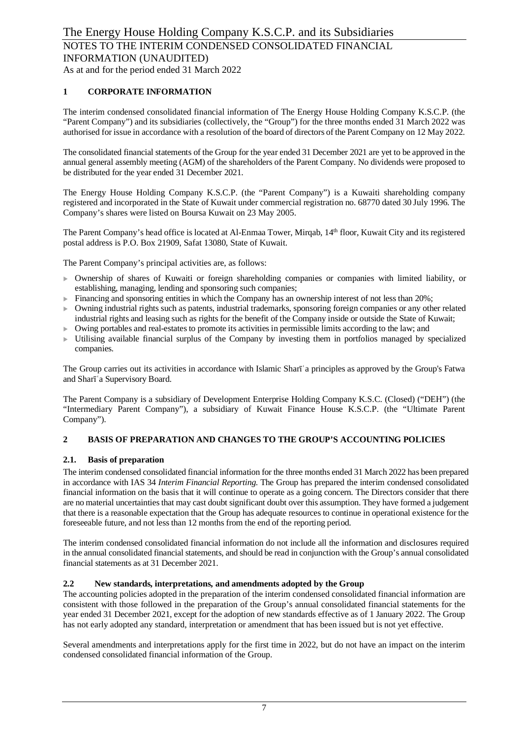#### **1 CORPORATE INFORMATION**

The interim condensed consolidated financial information of The Energy House Holding Company K.S.C.P. (the "Parent Company") and its subsidiaries (collectively, the "Group") for the three months ended 31 March 2022 was authorised for issue in accordance with a resolution of the board of directors of the Parent Company on 12 May 2022.

The consolidated financial statements of the Group for the year ended 31 December 2021 are yet to be approved in the annual general assembly meeting (AGM) of the shareholders of the Parent Company. No dividends were proposed to be distributed for the year ended 31 December 2021.

The Energy House Holding Company K.S.C.P. (the "Parent Company") is a Kuwaiti shareholding company registered and incorporated in the State of Kuwait under commercial registration no. 68770 dated 30 July 1996. The Company's shares were listed on Boursa Kuwait on 23 May 2005.

The Parent Company's head office is located at Al-Enmaa Tower, Mirqab, 14<sup>th</sup> floor, Kuwait City and its registered postal address is P.O. Box 21909, Safat 13080, State of Kuwait.

The Parent Company's principal activities are, as follows:

- $\triangleright$  Ownership of shares of Kuwaiti or foreign shareholding companies or companies with limited liability, or establishing, managing, lending and sponsoring such companies;
- $\blacktriangleright$  Financing and sponsoring entities in which the Company has an ownership interest of not less than 20%;
- $\triangleright$  Owning industrial rights such as patents, industrial trademarks, sponsoring foreign companies or any other related industrial rights and leasing such as rights for the benefit of the Company inside or outside the State of Kuwait;
- Owing portables and real-estates to promote its activities in permissible limits according to the law; and
- Utilising available financial surplus of the Company by investing them in portfolios managed by specialized companies.

The Group carries out its activities in accordance with Islamic Sharīʿa principles as approved by the Group's Fatwa and Sharīʿa Supervisory Board.

The Parent Company is a subsidiary of Development Enterprise Holding Company K.S.C. (Closed) ("DEH") (the "Intermediary Parent Company"), a subsidiary of Kuwait Finance House K.S.C.P. (the "Ultimate Parent Company").

#### **2 BASIS OF PREPARATION AND CHANGES TO THE GROUP'S ACCOUNTING POLICIES**

#### **2.1. Basis of preparation**

The interim condensed consolidated financial information for the three months ended 31 March 2022 has been prepared in accordance with IAS 34 *Interim Financial Reporting*. The Group has prepared the interim condensed consolidated financial information on the basis that it will continue to operate as a going concern. The Directors consider that there are no material uncertainties that may cast doubt significant doubt over this assumption. They have formed a judgement that there is a reasonable expectation that the Group has adequate resources to continue in operational existence for the foreseeable future, and not less than 12 months from the end of the reporting period.

The interim condensed consolidated financial information do not include all the information and disclosures required in the annual consolidated financial statements, and should be read in conjunction with the Group's annual consolidated financial statements as at 31 December 2021.

#### **2.2 New standards, interpretations, and amendments adopted by the Group**

The accounting policies adopted in the preparation of the interim condensed consolidated financial information are consistent with those followed in the preparation of the Group's annual consolidated financial statements for the year ended 31 December 2021, except for the adoption of new standards effective as of 1 January 2022. The Group has not early adopted any standard, interpretation or amendment that has been issued but is not yet effective.

Several amendments and interpretations apply for the first time in 2022, but do not have an impact on the interim condensed consolidated financial information of the Group.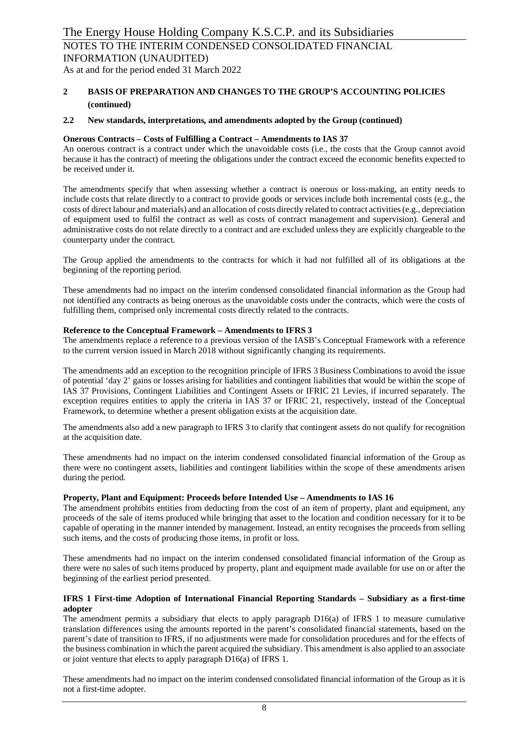As at and for the period ended 31 March 2022

#### **2 BASIS OF PREPARATION AND CHANGES TO THE GROUP'S ACCOUNTING POLICIES (continued)**

#### **2.2 New standards, interpretations, and amendments adopted by the Group (continued)**

#### **Onerous Contracts – Costs of Fulfilling a Contract – Amendments to IAS 37**

An onerous contract is a contract under which the unavoidable costs (i.e., the costs that the Group cannot avoid because it has the contract) of meeting the obligations under the contract exceed the economic benefits expected to be received under it.

The amendments specify that when assessing whether a contract is onerous or loss-making, an entity needs to include costs that relate directly to a contract to provide goods or services include both incremental costs (e.g., the costs of direct labour and materials) and an allocation of costs directly related to contract activities (e.g., depreciation of equipment used to fulfil the contract as well as costs of contract management and supervision). General and administrative costs do not relate directly to a contract and are excluded unless they are explicitly chargeable to the counterparty under the contract.

The Group applied the amendments to the contracts for which it had not fulfilled all of its obligations at the beginning of the reporting period.

These amendments had no impact on the interim condensed consolidated financial information as the Group had not identified any contracts as being onerous as the unavoidable costs under the contracts, which were the costs of fulfilling them, comprised only incremental costs directly related to the contracts.

#### **Reference to the Conceptual Framework – Amendments to IFRS 3**

The amendments replace a reference to a previous version of the IASB's Conceptual Framework with a reference to the current version issued in March 2018 without significantly changing its requirements.

The amendments add an exception to the recognition principle of IFRS 3 Business Combinations to avoid the issue of potential 'day 2' gains or losses arising for liabilities and contingent liabilities that would be within the scope of IAS 37 Provisions, Contingent Liabilities and Contingent Assets or IFRIC 21 Levies, if incurred separately. The exception requires entities to apply the criteria in IAS 37 or IFRIC 21, respectively, instead of the Conceptual Framework, to determine whether a present obligation exists at the acquisition date.

The amendments also add a new paragraph to IFRS 3 to clarify that contingent assets do not qualify for recognition at the acquisition date.

These amendments had no impact on the interim condensed consolidated financial information of the Group as there were no contingent assets, liabilities and contingent liabilities within the scope of these amendments arisen during the period.

#### **Property, Plant and Equipment: Proceeds before Intended Use – Amendments to IAS 16**

The amendment prohibits entities from deducting from the cost of an item of property, plant and equipment, any proceeds of the sale of items produced while bringing that asset to the location and condition necessary for it to be capable of operating in the manner intended by management. Instead, an entity recognises the proceeds from selling such items, and the costs of producing those items, in profit or loss.

These amendments had no impact on the interim condensed consolidated financial information of the Group as there were no sales of such items produced by property, plant and equipment made available for use on or after the beginning of the earliest period presented.

#### **IFRS 1 First-time Adoption of International Financial Reporting Standards – Subsidiary as a first-time adopter**

The amendment permits a subsidiary that elects to apply paragraph D16(a) of IFRS 1 to measure cumulative translation differences using the amounts reported in the parent's consolidated financial statements, based on the parent's date of transition to IFRS, if no adjustments were made for consolidation procedures and for the effects of the business combination in which the parent acquired the subsidiary. This amendment is also applied to an associate or joint venture that elects to apply paragraph D16(a) of IFRS 1.

These amendments had no impact on the interim condensed consolidated financial information of the Group as it is not a first-time adopter.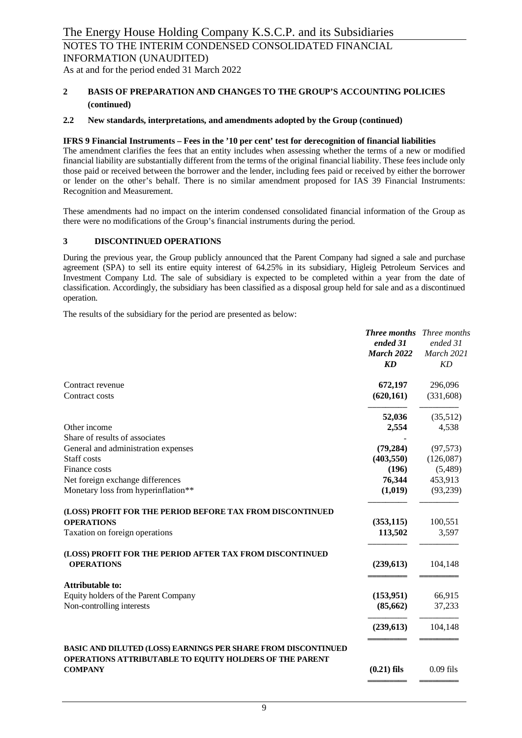INFORMATION (UNAUDITED)

As at and for the period ended 31 March 2022

#### **2 BASIS OF PREPARATION AND CHANGES TO THE GROUP'S ACCOUNTING POLICIES (continued)**

#### **2.2 New standards, interpretations, and amendments adopted by the Group (continued)**

#### **IFRS 9 Financial Instruments – Fees in the '10 per cent' test for derecognition of financial liabilities**

The amendment clarifies the fees that an entity includes when assessing whether the terms of a new or modified financial liability are substantially different from the terms of the original financial liability. These fees include only those paid or received between the borrower and the lender, including fees paid or received by either the borrower or lender on the other's behalf. There is no similar amendment proposed for IAS 39 Financial Instruments: Recognition and Measurement.

These amendments had no impact on the interim condensed consolidated financial information of the Group as there were no modifications of the Group's financial instruments during the period.

#### **3 DISCONTINUED OPERATIONS**

During the previous year, the Group publicly announced that the Parent Company had signed a sale and purchase agreement (SPA) to sell its entire equity interest of 64.25% in its subsidiary, Higleig Petroleum Services and Investment Company Ltd. The sale of subsidiary is expected to be completed within a year from the date of classification. Accordingly, the subsidiary has been classified as a disposal group held for sale and as a discontinued operation.

The results of the subsidiary for the period are presented as below:

|                                                                                                                          | <b>Three months</b><br>ended 31<br><b>March 2022</b><br>KD | Three months<br>ended 31<br>March 2021<br><b>KD</b> |
|--------------------------------------------------------------------------------------------------------------------------|------------------------------------------------------------|-----------------------------------------------------|
| Contract revenue                                                                                                         | 672,197                                                    | 296,096                                             |
| Contract costs                                                                                                           | (620, 161)                                                 | (331,608)                                           |
|                                                                                                                          | 52,036                                                     | (35,512)                                            |
| Other income                                                                                                             | 2,554                                                      | 4,538                                               |
| Share of results of associates                                                                                           |                                                            |                                                     |
| General and administration expenses                                                                                      | (79, 284)                                                  | (97, 573)                                           |
| Staff costs                                                                                                              | (403, 550)                                                 | (126,087)                                           |
| Finance costs                                                                                                            | (196)                                                      | (5,489)                                             |
| Net foreign exchange differences                                                                                         | 76,344                                                     | 453,913                                             |
| Monetary loss from hyperinflation**                                                                                      | (1,019)                                                    | (93,239)                                            |
| (LOSS) PROFIT FOR THE PERIOD BEFORE TAX FROM DISCONTINUED                                                                |                                                            |                                                     |
| <b>OPERATIONS</b>                                                                                                        | (353, 115)                                                 | 100,551                                             |
| Taxation on foreign operations                                                                                           | 113,502                                                    | 3,597                                               |
| (LOSS) PROFIT FOR THE PERIOD AFTER TAX FROM DISCONTINUED                                                                 |                                                            |                                                     |
| <b>OPERATIONS</b>                                                                                                        | (239, 613)                                                 | 104,148                                             |
| <b>Attributable to:</b>                                                                                                  |                                                            |                                                     |
| Equity holders of the Parent Company                                                                                     | (153, 951)                                                 | 66,915                                              |
| Non-controlling interests                                                                                                | (85, 662)                                                  | 37,233                                              |
|                                                                                                                          | (239, 613)                                                 | 104,148                                             |
| BASIC AND DILUTED (LOSS) EARNINGS PER SHARE FROM DISCONTINUED<br>OPERATIONS ATTRIBUTABLE TO EQUITY HOLDERS OF THE PARENT |                                                            |                                                     |
| <b>COMPANY</b>                                                                                                           | $(0.21)$ fils                                              | $0.09$ fils                                         |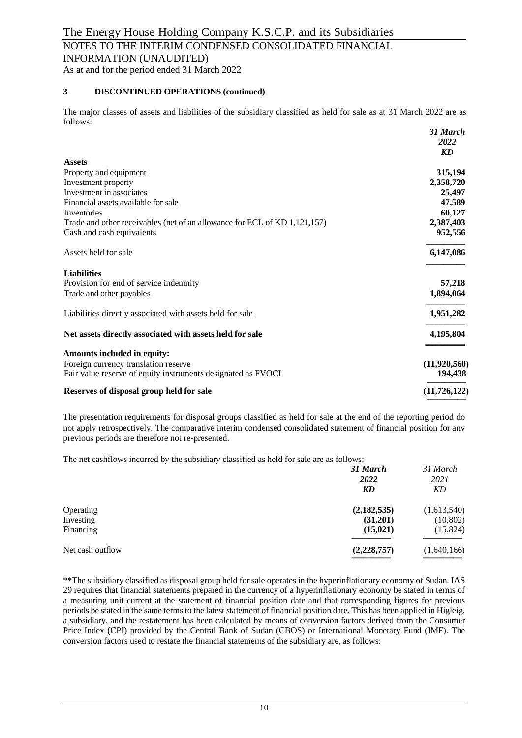#### NOTES TO THE INTERIM CONDENSED CONSOLIDATED FINANCIAL INFORMATION (UNAUDITED)

As at and for the period ended 31 March 2022

#### **3 DISCONTINUED OPERATIONS (continued)**

The major classes of assets and liabilities of the subsidiary classified as held for sale as at 31 March 2022 are as follows: *31 March*

|                                                                           | э1 мигсп       |
|---------------------------------------------------------------------------|----------------|
|                                                                           | 2022           |
|                                                                           | <b>KD</b>      |
| <b>Assets</b>                                                             |                |
| Property and equipment                                                    | 315,194        |
| Investment property                                                       | 2,358,720      |
| Investment in associates                                                  | 25,497         |
| Financial assets available for sale                                       | 47,589         |
| Inventories                                                               | 60,127         |
| Trade and other receivables (net of an allowance for ECL of KD 1,121,157) | 2,387,403      |
| Cash and cash equivalents                                                 | 952,556        |
| Assets held for sale                                                      | 6,147,086      |
| <b>Liabilities</b>                                                        |                |
| Provision for end of service indemnity                                    | 57,218         |
| Trade and other payables                                                  | 1,894,064      |
| Liabilities directly associated with assets held for sale                 | 1,951,282      |
| Net assets directly associated with assets held for sale                  | 4,195,804      |
| Amounts included in equity:                                               |                |
| Foreign currency translation reserve                                      | (11,920,560)   |
| Fair value reserve of equity instruments designated as FVOCI              | 194,438        |
| Reserves of disposal group held for sale                                  | (11, 726, 122) |
|                                                                           |                |

The presentation requirements for disposal groups classified as held for sale at the end of the reporting period do not apply retrospectively. The comparative interim condensed consolidated statement of financial position for any previous periods are therefore not re-presented.

The net cashflows incurred by the subsidiary classified as held for sale are as follows:

|                                     | 31 March<br>2022<br>KD               | 31 March<br>2021<br>KD               |
|-------------------------------------|--------------------------------------|--------------------------------------|
| Operating<br>Investing<br>Financing | (2,182,535)<br>(31,201)<br>(15, 021) | (1,613,540)<br>(10, 802)<br>(15,824) |
| Net cash outflow                    | (2,228,757)                          | (1,640,166)                          |

\*\*The subsidiary classified as disposal group held for sale operates in the hyperinflationary economy of Sudan. IAS 29 requires that financial statements prepared in the currency of a hyperinflationary economy be stated in terms of a measuring unit current at the statement of financial position date and that corresponding figures for previous periods be stated in the same terms to the latest statement of financial position date. This has been applied in Higleig, a subsidiary, and the restatement has been calculated by means of conversion factors derived from the Consumer Price Index (CPI) provided by the Central Bank of Sudan (CBOS) or International Monetary Fund (IMF). The conversion factors used to restate the financial statements of the subsidiary are, as follows: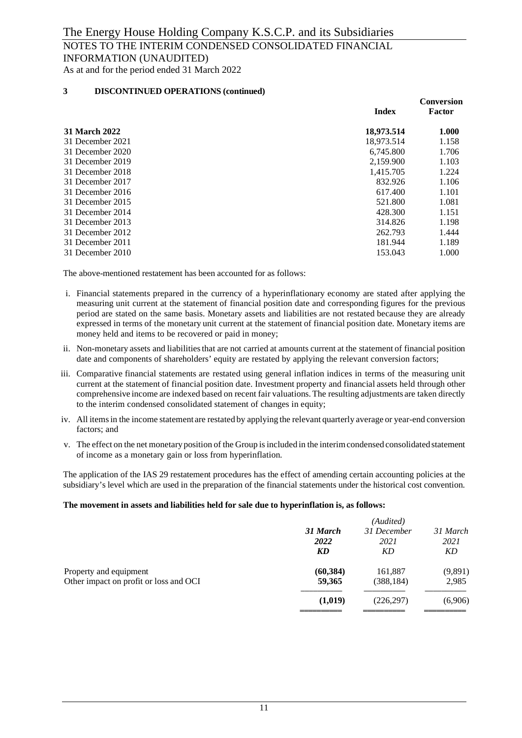As at and for the period ended 31 March 2022

#### **3 DISCONTINUED OPERATIONS (continued)**

|                  | <b>Index</b> | <b>Conversion</b><br>Factor |
|------------------|--------------|-----------------------------|
| 31 March 2022    | 18,973.514   | 1.000                       |
| 31 December 2021 | 18,973.514   | 1.158                       |
| 31 December 2020 | 6,745.800    | 1.706                       |
| 31 December 2019 | 2,159.900    | 1.103                       |
| 31 December 2018 | 1.415.705    | 1.224                       |
| 31 December 2017 | 832.926      | 1.106                       |
| 31 December 2016 | 617.400      | 1.101                       |
| 31 December 2015 | 521.800      | 1.081                       |
| 31 December 2014 | 428.300      | 1.151                       |
| 31 December 2013 | 314.826      | 1.198                       |
| 31 December 2012 | 262.793      | 1.444                       |
| 31 December 2011 | 181.944      | 1.189                       |
| 31 December 2010 | 153.043      | 1.000                       |
|                  |              |                             |

The above-mentioned restatement has been accounted for as follows:

- i. Financial statements prepared in the currency of a hyperinflationary economy are stated after applying the measuring unit current at the statement of financial position date and corresponding figures for the previous period are stated on the same basis. Monetary assets and liabilities are not restated because they are already expressed in terms of the monetary unit current at the statement of financial position date. Monetary items are money held and items to be recovered or paid in money;
- ii. Non-monetary assets and liabilities that are not carried at amounts current at the statement of financial position date and components of shareholders' equity are restated by applying the relevant conversion factors;
- iii. Comparative financial statements are restated using general inflation indices in terms of the measuring unit current at the statement of financial position date. Investment property and financial assets held through other comprehensive income are indexed based on recent fair valuations. The resulting adjustments are taken directly to the interim condensed consolidated statement of changes in equity;
- iv. All items in the income statement are restated by applying the relevant quarterly average or year-end conversion factors; and
- v. The effect on the net monetary position of the Group is included in the interim condensed consolidated statement of income as a monetary gain or loss from hyperinflation*.*

The application of the IAS 29 restatement procedures has the effect of amending certain accounting policies at the subsidiary's level which are used in the preparation of the financial statements under the historical cost convention.

#### **The movement in assets and liabilities held for sale due to hyperinflation is, as follows:**

|                                        |           | (Audited)   |          |
|----------------------------------------|-----------|-------------|----------|
|                                        | 31 March  | 31 December | 31 March |
|                                        | 2022      | 2021        | 2021     |
|                                        | <b>KD</b> | KD          | KD       |
| Property and equipment                 | (60, 384) | 161,887     | (9,891)  |
| Other impact on profit or loss and OCI | 59,365    | (388, 184)  | 2,985    |
|                                        | (1,019)   | (226, 297)  | (6,906)  |
|                                        |           |             |          |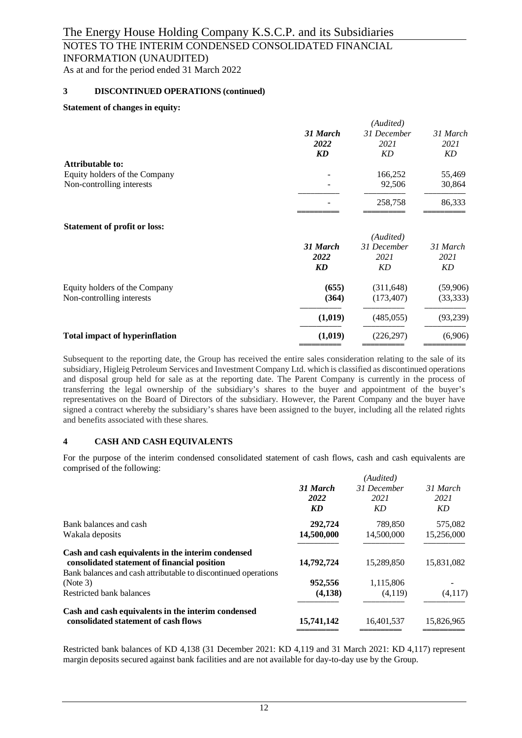#### NOTES TO THE INTERIM CONDENSED CONSOLIDATED FINANCIAL INFORMATION (UNAUDITED)

As at and for the period ended 31 March 2022

#### **3 DISCONTINUED OPERATIONS (continued)**

#### **Statement of changes in equity:**

|           | (Audited)   |                       |
|-----------|-------------|-----------------------|
| 31 March  | 31 December | 31 March              |
| 2022      | 2021        | 2021                  |
| KD        | KD          | KD                    |
|           |             |                       |
|           |             | 55,469                |
|           | 92,506      | 30,864                |
|           | 258,758     | 86,333                |
|           |             |                       |
|           | (Audited)   |                       |
| 31 March  | 31 December | 31 March              |
| 2022      | 2021        | 2021                  |
| <b>KD</b> | KD          | KD                    |
|           |             | (59,906)              |
| (364)     | (173, 407)  | (33,333)              |
| (1,019)   | (485, 055)  | (93, 239)             |
| (1,019)   | (226, 297)  | (6,906)               |
|           | (655)       | 166,252<br>(311, 648) |

Subsequent to the reporting date, the Group has received the entire sales consideration relating to the sale of its subsidiary, Higleig Petroleum Services and Investment Company Ltd. which is classified as discontinued operations and disposal group held for sale as at the reporting date. The Parent Company is currently in the process of transferring the legal ownership of the subsidiary's shares to the buyer and appointment of the buyer's representatives on the Board of Directors of the subsidiary. However, the Parent Company and the buyer have signed a contract whereby the subsidiary's shares have been assigned to the buyer, including all the related rights and benefits associated with these shares.

#### **4 CASH AND CASH EQUIVALENTS**

For the purpose of the interim condensed consolidated statement of cash flows, cash and cash equivalents are comprised of the following:

|                                                                |            | (Audited)   |            |
|----------------------------------------------------------------|------------|-------------|------------|
|                                                                | 31 March   | 31 December | 31 March   |
|                                                                | 2022       | 2021        | 2021       |
|                                                                | KD         | KD          | KD         |
| Bank balances and cash                                         | 292,724    | 789,850     | 575,082    |
| Wakala deposits                                                | 14,500,000 | 14,500,000  | 15,256,000 |
| Cash and cash equivalents in the interim condensed             |            |             |            |
| consolidated statement of financial position                   | 14,792,724 | 15,289,850  | 15,831,082 |
| Bank balances and cash attributable to discontinued operations |            |             |            |
| (Note 3)                                                       | 952,556    | 1,115,806   |            |
| Restricted bank balances                                       | (4,138)    | (4,119)     | (4,117)    |
| Cash and cash equivalents in the interim condensed             |            |             |            |
| consolidated statement of cash flows                           | 15,741,142 | 16,401,537  | 15,826,965 |
|                                                                |            |             |            |

Restricted bank balances of KD 4,138 (31 December 2021: KD 4,119 and 31 March 2021: KD 4,117) represent margin deposits secured against bank facilities and are not available for day-to-day use by the Group.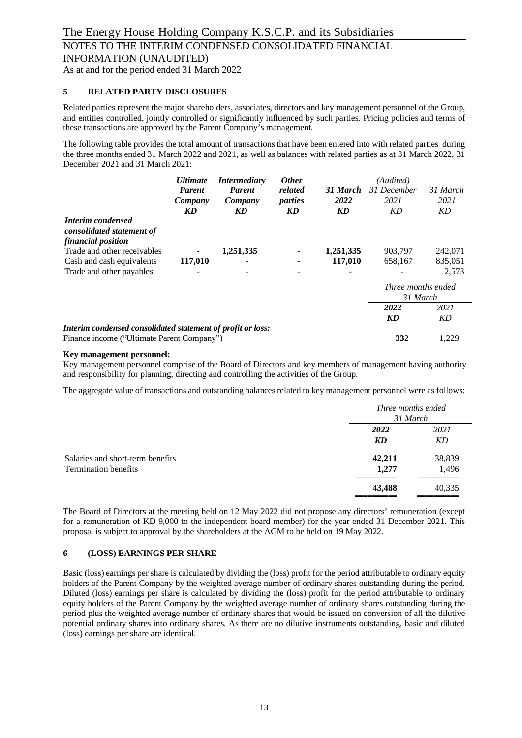As at and for the period ended 31 March 2022

#### **5 RELATED PARTY DISCLOSURES**

Related parties represent the major shareholders, associates, directors and key management personnel of the Group, and entities controlled, jointly controlled or significantly influenced by such parties. Pricing policies and terms of these transactions are approved by the Parent Company's management.

The following table provides the total amount of transactions that have been entered into with related parties during the three months ended 31 March 2022 and 2021, as well as balances with related parties as at 31 March 2022, 31 December 2021 and 31 March 2021:

|                                                                    | <b>Ultimate</b> | <i>Intermediary</i> |                     | <b>Other</b> | (Audited)          |          |
|--------------------------------------------------------------------|-----------------|---------------------|---------------------|--------------|--------------------|----------|
|                                                                    | <b>Parent</b>   | <b>Parent</b>       | related<br>31 March |              | 31 December        | 31 March |
|                                                                    | Company         | Company             | parties             | 2022         | 2021               | 2021     |
|                                                                    | KD              | KD                  | KD                  | KD           | KD                 | KD       |
| Interim condensed                                                  |                 |                     |                     |              |                    |          |
| consolidated statement of                                          |                 |                     |                     |              |                    |          |
| financial position                                                 |                 |                     |                     |              |                    |          |
| Trade and other receivables                                        |                 | 1,251,335           |                     | 1,251,335    | 903,797            | 242,071  |
| Cash and cash equivalents                                          | 117,010         |                     |                     | 117,010      | 658,167            | 835,051  |
| Trade and other payables                                           |                 |                     |                     |              |                    | 2,573    |
|                                                                    |                 |                     |                     |              | Three months ended |          |
|                                                                    |                 |                     |                     |              | 31 March           |          |
|                                                                    |                 |                     |                     |              | 2022               | 2021     |
|                                                                    |                 |                     |                     |              | KD                 | KD       |
| <b>Interim condensed consolidated statement of profit or loss:</b> |                 |                     |                     |              |                    |          |
| Finance income ("Ultimate Parent Company")                         |                 |                     |                     |              | 332                | 1,229    |

#### **Key management personnel:**

Key management personnel comprise of the Board of Directors and key members of management having authority and responsibility for planning, directing and controlling the activities of the Group.

The aggregate value of transactions and outstanding balances related to key management personnel were as follows:

|                                                                 |                 | Three months ended<br>31 March |  |  |
|-----------------------------------------------------------------|-----------------|--------------------------------|--|--|
|                                                                 | 2022<br>KD      | 2021<br>KD                     |  |  |
| Salaries and short-term benefits<br><b>Termination benefits</b> | 42,211<br>1,277 | 38,839<br>1,496                |  |  |
|                                                                 | 43,488          | 40,335                         |  |  |

The Board of Directors at the meeting held on 12 May 2022 did not propose any directors' remuneration (except for a remuneration of KD 9,000 to the independent board member) for the year ended 31 December 2021. This proposal is subject to approval by the shareholders at the AGM to be held on 19 May 2022.

#### **6 (LOSS) EARNINGS PER SHARE**

Basic (loss) earnings per share is calculated by dividing the (loss) profit for the period attributable to ordinary equity holders of the Parent Company by the weighted average number of ordinary shares outstanding during the period. Diluted (loss) earnings per share is calculated by dividing the (loss) profit for the period attributable to ordinary equity holders of the Parent Company by the weighted average number of ordinary shares outstanding during the period plus the weighted average number of ordinary shares that would be issued on conversion of all the dilutive potential ordinary shares into ordinary shares. As there are no dilutive instruments outstanding, basic and diluted (loss) earnings per share are identical.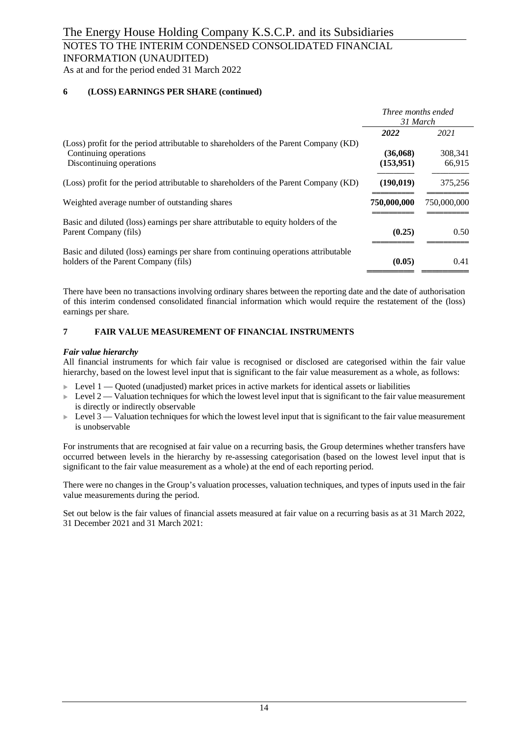#### NOTES TO THE INTERIM CONDENSED CONSOLIDATED FINANCIAL INFORMATION (UNAUDITED)

As at and for the period ended 31 March 2022

#### **6 (LOSS) EARNINGS PER SHARE (continued)**

|                                                                                                                             | <i>Three months ended</i><br>31 March |             |
|-----------------------------------------------------------------------------------------------------------------------------|---------------------------------------|-------------|
|                                                                                                                             | 2022                                  | 2021        |
| (Loss) profit for the period attributable to shareholders of the Parent Company (KD)<br>Continuing operations               | (36,068)                              | 308,341     |
| Discontinuing operations                                                                                                    | (153, 951)                            | 66,915      |
| (Loss) profit for the period attributable to shareholders of the Parent Company (KD)                                        | (190, 019)                            | 375,256     |
| Weighted average number of outstanding shares                                                                               | 750,000,000                           | 750,000,000 |
| Basic and diluted (loss) earnings per share attributable to equity holders of the<br>Parent Company (fils)                  | (0.25)                                | 0.50        |
| Basic and diluted (loss) earnings per share from continuing operations attributable<br>holders of the Parent Company (fils) | (0.05)                                | 0.41        |

There have been no transactions involving ordinary shares between the reporting date and the date of authorisation of this interim condensed consolidated financial information which would require the restatement of the (loss) earnings per share.

#### **7 FAIR VALUE MEASUREMENT OF FINANCIAL INSTRUMENTS**

#### *Fair value hierarchy*

All financial instruments for which fair value is recognised or disclosed are categorised within the fair value hierarchy, based on the lowest level input that is significant to the fair value measurement as a whole, as follows:

- $\triangleright$  Level 1 Quoted (unadjusted) market prices in active markets for identical assets or liabilities
- $\blacktriangleright$  Level 2 Valuation techniques for which the lowest level input that is significant to the fair value measurement is directly or indirectly observable
- $\triangleright$  Level 3 Valuation techniques for which the lowest level input that is significant to the fair value measurement is unobservable

For instruments that are recognised at fair value on a recurring basis, the Group determines whether transfers have occurred between levels in the hierarchy by re-assessing categorisation (based on the lowest level input that is significant to the fair value measurement as a whole) at the end of each reporting period.

There were no changes in the Group's valuation processes, valuation techniques, and types of inputs used in the fair value measurements during the period.

Set out below is the fair values of financial assets measured at fair value on a recurring basis as at 31 March 2022, 31 December 2021 and 31 March 2021: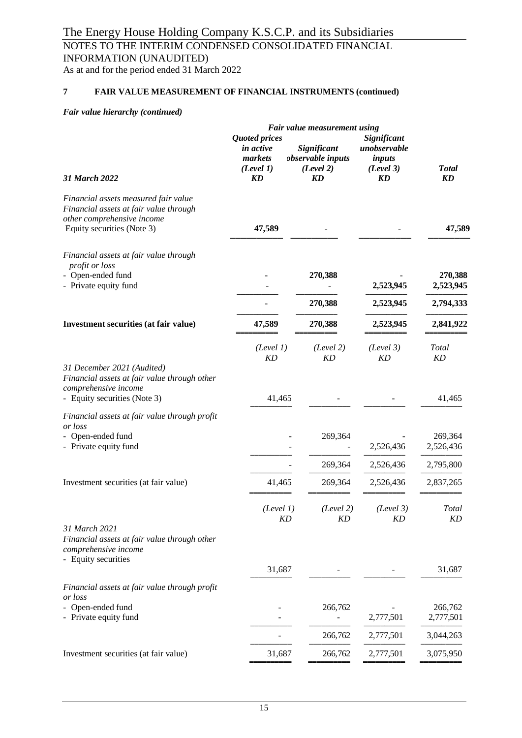## NOTES TO THE INTERIM CONDENSED CONSOLIDATED FINANCIAL INFORMATION (UNAUDITED)

As at and for the period ended 31 March 2022

#### **7 FAIR VALUE MEASUREMENT OF FINANCIAL INSTRUMENTS (continued)**

#### *Fair value hierarchy (continued)*

|                                                                                                                                            |                                                                        |                                                            | Fair value measurement using |                                                                 |                                   |  |
|--------------------------------------------------------------------------------------------------------------------------------------------|------------------------------------------------------------------------|------------------------------------------------------------|------------------------------|-----------------------------------------------------------------|-----------------------------------|--|
| 31 March 2022                                                                                                                              | <b>Quoted prices</b><br>in active<br>markets<br>(Level 1)<br><b>KD</b> | Significant<br>observable inputs<br>(Level 2)<br><b>KD</b> |                              | Significant<br>unobservable<br>inputs<br>(Level 3)<br><b>KD</b> | <b>Total</b><br>KD                |  |
| Financial assets measured fair value<br>Financial assets at fair value through<br>other comprehensive income<br>Equity securities (Note 3) | 47,589                                                                 |                                                            |                              |                                                                 | 47,589                            |  |
| Financial assets at fair value through<br>profit or loss<br>Open-ended fund<br>- Private equity fund                                       |                                                                        |                                                            | 270,388<br>270,388           | 2,523,945<br>2,523,945                                          | 270,388<br>2,523,945<br>2,794,333 |  |
| <b>Investment securities (at fair value)</b>                                                                                               | 47,589                                                                 |                                                            | 270,388                      | 2,523,945                                                       | 2,841,922                         |  |
|                                                                                                                                            | (Level 1)<br><b>KD</b>                                                 |                                                            | (Level 2)<br><b>KD</b>       | (Level 3)<br><b>KD</b>                                          | Total<br>KD                       |  |
| 31 December 2021 (Audited)<br>Financial assets at fair value through other<br>comprehensive income<br>- Equity securities (Note 3)         | 41,465                                                                 |                                                            |                              |                                                                 | 41,465                            |  |
| Financial assets at fair value through profit<br>or loss                                                                                   |                                                                        |                                                            |                              |                                                                 |                                   |  |
| Open-ended fund<br>- Private equity fund                                                                                                   |                                                                        |                                                            | 269,364                      | 2,526,436                                                       | 269,364<br>2,526,436              |  |
|                                                                                                                                            |                                                                        |                                                            | 269,364                      | 2,526,436                                                       | 2,795,800                         |  |
| Investment securities (at fair value)                                                                                                      | 41,465                                                                 |                                                            | 269,364                      | 2,526,436                                                       | 2,837,265                         |  |
|                                                                                                                                            | (Level 1)                                                              | KD                                                         | (Level 2)<br><b>KD</b>       | (Level 3)<br>KD                                                 | <b>Total</b><br>KD                |  |
| 31 March 2021<br>Financial assets at fair value through other<br>comprehensive income<br>- Equity securities                               |                                                                        |                                                            |                              |                                                                 |                                   |  |
|                                                                                                                                            | 31,687                                                                 |                                                            |                              |                                                                 | 31,687                            |  |
| Financial assets at fair value through profit<br>or loss                                                                                   |                                                                        |                                                            |                              |                                                                 |                                   |  |
| Open-ended fund<br>- Private equity fund                                                                                                   |                                                                        |                                                            | 266,762                      | 2,777,501                                                       | 266,762<br>2,777,501              |  |
|                                                                                                                                            |                                                                        |                                                            | 266,762                      | 2,777,501                                                       | 3,044,263                         |  |
| Investment securities (at fair value)                                                                                                      | 31,687                                                                 |                                                            | 266,762                      | 2,777,501                                                       | 3,075,950                         |  |
|                                                                                                                                            |                                                                        |                                                            |                              |                                                                 |                                   |  |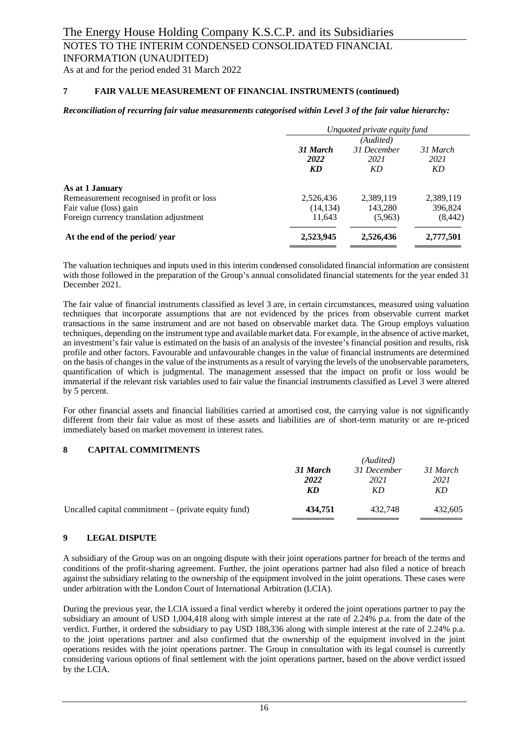As at and for the period ended 31 March 2022

#### **7 FAIR VALUE MEASUREMENT OF FINANCIAL INSTRUMENTS (continued)**

#### *Reconciliation of recurring fair value measurements categorised within Level 3 of the fair value hierarchy:*

|                                            |                  | Unquoted private equity fund |                  |  |
|--------------------------------------------|------------------|------------------------------|------------------|--|
|                                            | (Audited)        |                              |                  |  |
|                                            | 31 March<br>2022 | 31 December                  | 31 March<br>2021 |  |
|                                            |                  | 2021                         |                  |  |
|                                            | KD               | KD                           | KD               |  |
| As at 1 January                            |                  |                              |                  |  |
| Remeasurement recognised in profit or loss | 2,526,436        | 2,389,119                    | 2,389,119        |  |
| Fair value (loss) gain                     | (14, 134)        | 143,280                      | 396,824          |  |
| Foreign currency translation adjustment    | 11,643           | (5,963)                      | (8, 442)         |  |
| At the end of the period/year              | 2,523,945        | 2,526,436                    | 2,777,501        |  |
|                                            |                  |                              |                  |  |

The valuation techniques and inputs used in this interim condensed consolidated financial information are consistent with those followed in the preparation of the Group's annual consolidated financial statements for the year ended 31 December 2021.

The fair value of financial instruments classified as level 3 are, in certain circumstances, measured using valuation techniques that incorporate assumptions that are not evidenced by the prices from observable current market transactions in the same instrument and are not based on observable market data. The Group employs valuation techniques, depending on the instrument type and available market data. For example, in the absence of active market, an investment's fair value is estimated on the basis of an analysis of the investee's financial position and results, risk profile and other factors. Favourable and unfavourable changes in the value of financial instruments are determined on the basis of changes in the value of the instruments as a result of varying the levels of the unobservable parameters, quantification of which is judgmental. The management assessed that the impact on profit or loss would be immaterial if the relevant risk variables used to fair value the financial instruments classified as Level 3 were altered by 5 percent.

For other financial assets and financial liabilities carried at amortised cost, the carrying value is not significantly different from their fair value as most of these assets and liabilities are of short-term maturity or are re-priced immediately based on market movement in interest rates.

#### **8 CAPITAL COMMITMENTS**

|                                                       | (Audited) |             |          |  |
|-------------------------------------------------------|-----------|-------------|----------|--|
|                                                       | 31 March  | 31 December | 31 March |  |
|                                                       | 2022      | 2021        | 2021     |  |
|                                                       | KD        | KD          | KD       |  |
| Uncalled capital commitment $-$ (private equity fund) | 434,751   | 432.748     | 432,605  |  |

#### **9 LEGAL DISPUTE**

A subsidiary of the Group was on an ongoing dispute with their joint operations partner for breach of the terms and conditions of the profit-sharing agreement. Further, the joint operations partner had also filed a notice of breach against the subsidiary relating to the ownership of the equipment involved in the joint operations. These cases were under arbitration with the London Court of International Arbitration (LCIA).

During the previous year, the LCIA issued a final verdict whereby it ordered the joint operations partner to pay the subsidiary an amount of USD 1,004,418 along with simple interest at the rate of 2.24% p.a. from the date of the verdict. Further, it ordered the subsidiary to pay USD 188,336 along with simple interest at the rate of 2.24% p.a. to the joint operations partner and also confirmed that the ownership of the equipment involved in the joint operations resides with the joint operations partner. The Group in consultation with its legal counsel is currently considering various options of final settlement with the joint operations partner, based on the above verdict issued by the LCIA.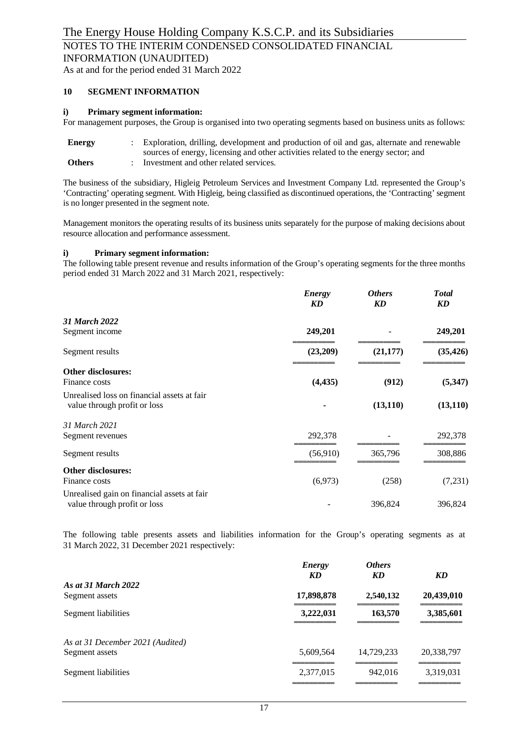As at and for the period ended 31 March 2022

#### **10 SEGMENT INFORMATION**

#### **i) Primary segment information:**

For management purposes, the Group is organised into two operating segments based on business units as follows:

| <b>Energy</b> | Exploration, drilling, development and production of oil and gas, alternate and renewable |
|---------------|-------------------------------------------------------------------------------------------|
|               | sources of energy, licensing and other activities related to the energy sector; and       |
| <b>Others</b> | Investment and other related services.                                                    |

The business of the subsidiary, Higleig Petroleum Services and Investment Company Ltd. represented the Group's 'Contracting' operating segment. With Higleig, being classified as discontinued operations, the 'Contracting' segment is no longer presented in the segment note.

Management monitors the operating results of its business units separately for the purpose of making decisions about resource allocation and performance assessment.

#### **i) Primary segment information:**

The following table present revenue and results information of the Group's operating segments for the three months period ended 31 March 2022 and 31 March 2021, respectively:

|                                                                             | <b>Energy</b><br>KD | <b>Others</b><br>KD | <b>Total</b><br>KD |
|-----------------------------------------------------------------------------|---------------------|---------------------|--------------------|
| 31 March 2022                                                               |                     |                     |                    |
| Segment income                                                              | 249,201             |                     | 249,201            |
| Segment results                                                             | (23,209)            | (21, 177)           | (35, 426)          |
| <b>Other disclosures:</b>                                                   |                     |                     |                    |
| Finance costs                                                               | (4, 435)            | (912)               | (5,347)            |
| Unrealised loss on financial assets at fair<br>value through profit or loss |                     | (13, 110)           | (13, 110)          |
| 31 March 2021                                                               |                     |                     |                    |
| Segment revenues                                                            | 292,378             |                     | 292,378            |
| Segment results                                                             | (56,910)            | 365,796             | 308,886            |
| <b>Other disclosures:</b>                                                   |                     |                     |                    |
| Finance costs                                                               | (6,973)             | (258)               | (7,231)            |
| Unrealised gain on financial assets at fair<br>value through profit or loss |                     | 396,824             | 396,824            |

The following table presents assets and liabilities information for the Group's operating segments as at 31 March 2022, 31 December 2021 respectively:

|                                  | Energy<br>KD | <b>Others</b><br>KD | <b>KD</b>  |
|----------------------------------|--------------|---------------------|------------|
| As at 31 March 2022              |              |                     |            |
| Segment assets                   | 17,898,878   | 2,540,132           | 20,439,010 |
| Segment liabilities              | 3,222,031    | 163,570             | 3,385,601  |
| As at 31 December 2021 (Audited) |              |                     |            |
| Segment assets                   | 5,609,564    | 14,729,233          | 20,338,797 |
| Segment liabilities              | 2,377,015    | 942,016             | 3,319,031  |
|                                  |              |                     |            |